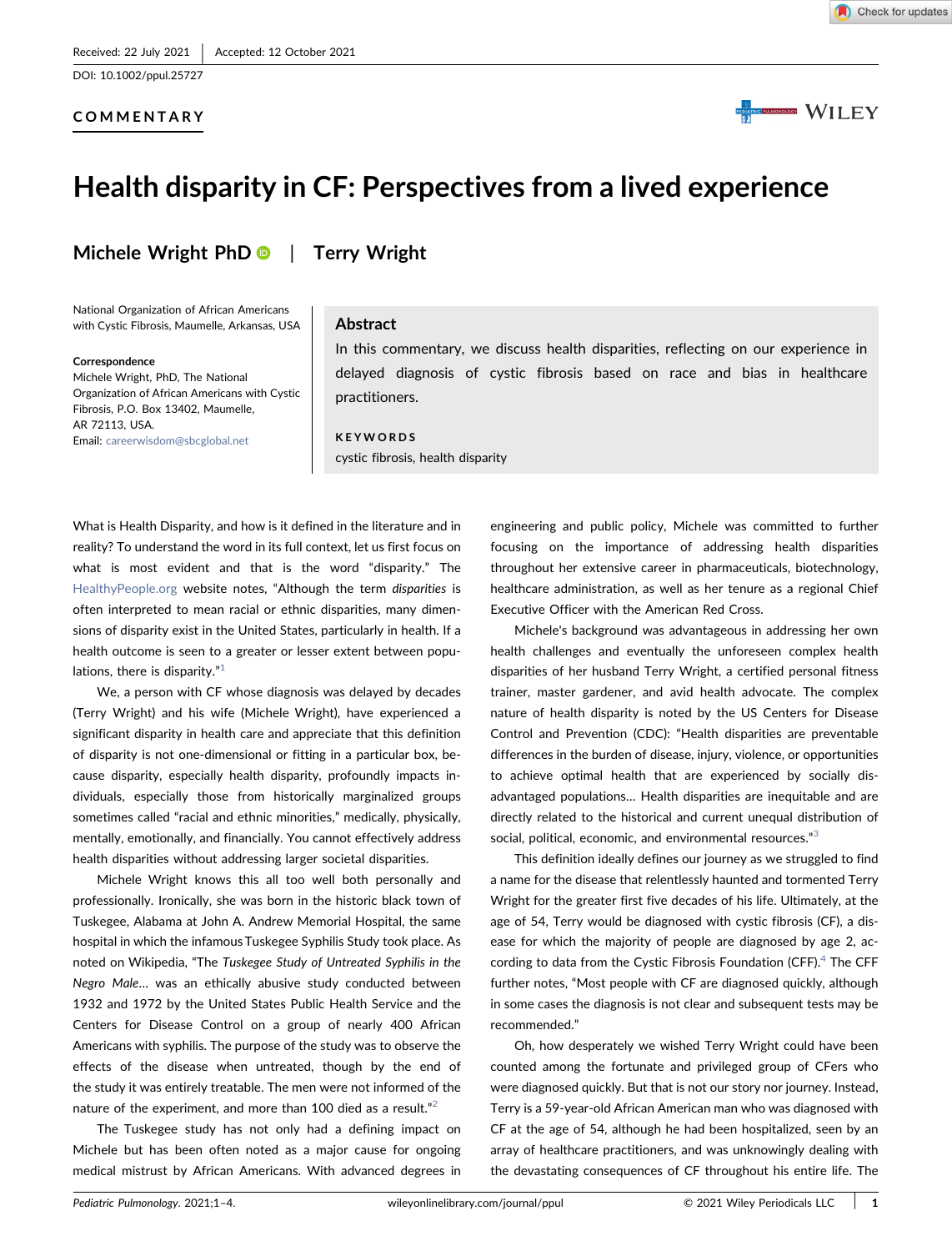DOI: 10.1002/ppul.25727

## COMMENTARY



# Health disparity in CF: Perspectives from a lived experience

Michele Wright Ph[D](http://orcid.org/0000-0002-9162-2678)  $\bullet$  | Terry Wright

National Organization of African Americans with Cystic Fibrosis, Maumelle, Arkansas, USA

#### Correspondence

Michele Wright, PhD, The National Organization of African Americans with Cystic Fibrosis, P.O. Box 13402, Maumelle, AR 72113, USA. Email: [careerwisdom@sbcglobal.net](mailto:careerwisdom@sbcglobal.net)

#### Abstract

In this commentary, we discuss health disparities, reflecting on our experience in delayed diagnosis of cystic fibrosis based on race and bias in healthcare practitioners.

#### KEYWORDS cystic fibrosis, health disparity

What is Health Disparity, and how is it defined in the literature and in reality? To understand the word in its full context, let us first focus on what is most evident and that is the word "disparity." The [HealthyPeople.org](https://HealthyPeople.org) website notes, "Although the term disparities is often interpreted to mean racial or ethnic disparities, many dimensions of disparity exist in the United States, particularly in health. If a health outcome is seen to a greater or lesser extent between populations, there is disparity." $1$ 

We, a person with CF whose diagnosis was delayed by decades (Terry Wright) and his wife (Michele Wright), have experienced a significant disparity in health care and appreciate that this definition of disparity is not one‐dimensional or fitting in a particular box, because disparity, especially health disparity, profoundly impacts individuals, especially those from historically marginalized groups sometimes called "racial and ethnic minorities," medically, physically, mentally, emotionally, and financially. You cannot effectively address health disparities without addressing larger societal disparities.

Michele Wright knows this all too well both personally and professionally. Ironically, she was born in the historic black town of Tuskegee, Alabama at John A. Andrew Memorial Hospital, the same hospital in which the infamous Tuskegee Syphilis Study took place. As noted on Wikipedia, "The Tuskegee Study of Untreated Syphilis in the Negro Male… was an ethically abusive study conducted between 1932 and 1972 by the United States Public Health Service and the Centers for Disease Control on a group of nearly 400 African Americans with syphilis. The purpose of the study was to observe the effects of the disease when untreated, though by the end of the study it was entirely treatable. The men were not informed of the nature of the experiment, and more than 100 died as a result."<sup>[2](#page-3-1)</sup>

The Tuskegee study has not only had a defining impact on Michele but has been often noted as a major cause for ongoing medical mistrust by African Americans. With advanced degrees in engineering and public policy, Michele was committed to further focusing on the importance of addressing health disparities throughout her extensive career in pharmaceuticals, biotechnology, healthcare administration, as well as her tenure as a regional Chief Executive Officer with the American Red Cross.

Michele's background was advantageous in addressing her own health challenges and eventually the unforeseen complex health disparities of her husband Terry Wright, a certified personal fitness trainer, master gardener, and avid health advocate. The complex nature of health disparity is noted by the US Centers for Disease Control and Prevention (CDC): "Health disparities are preventable differences in the burden of disease, injury, violence, or opportunities to achieve optimal health that are experienced by socially disadvantaged populations… Health disparities are inequitable and are directly related to the historical and current unequal distribution of social, political, economic, and environmental resources."[3](#page-3-2)

This definition ideally defines our journey as we struggled to find a name for the disease that relentlessly haunted and tormented Terry Wright for the greater first five decades of his life. Ultimately, at the age of 54, Terry would be diagnosed with cystic fibrosis (CF), a disease for which the majority of people are diagnosed by age 2, according to data from the Cystic Fibrosis Foundation (CFF). $4$  The CFF further notes, "Most people with CF are diagnosed quickly, although in some cases the diagnosis is not clear and subsequent tests may be recommended."

Oh, how desperately we wished Terry Wright could have been counted among the fortunate and privileged group of CFers who were diagnosed quickly. But that is not our story nor journey. Instead, Terry is a 59‐year‐old African American man who was diagnosed with CF at the age of 54, although he had been hospitalized, seen by an array of healthcare practitioners, and was unknowingly dealing with the devastating consequences of CF throughout his entire life. The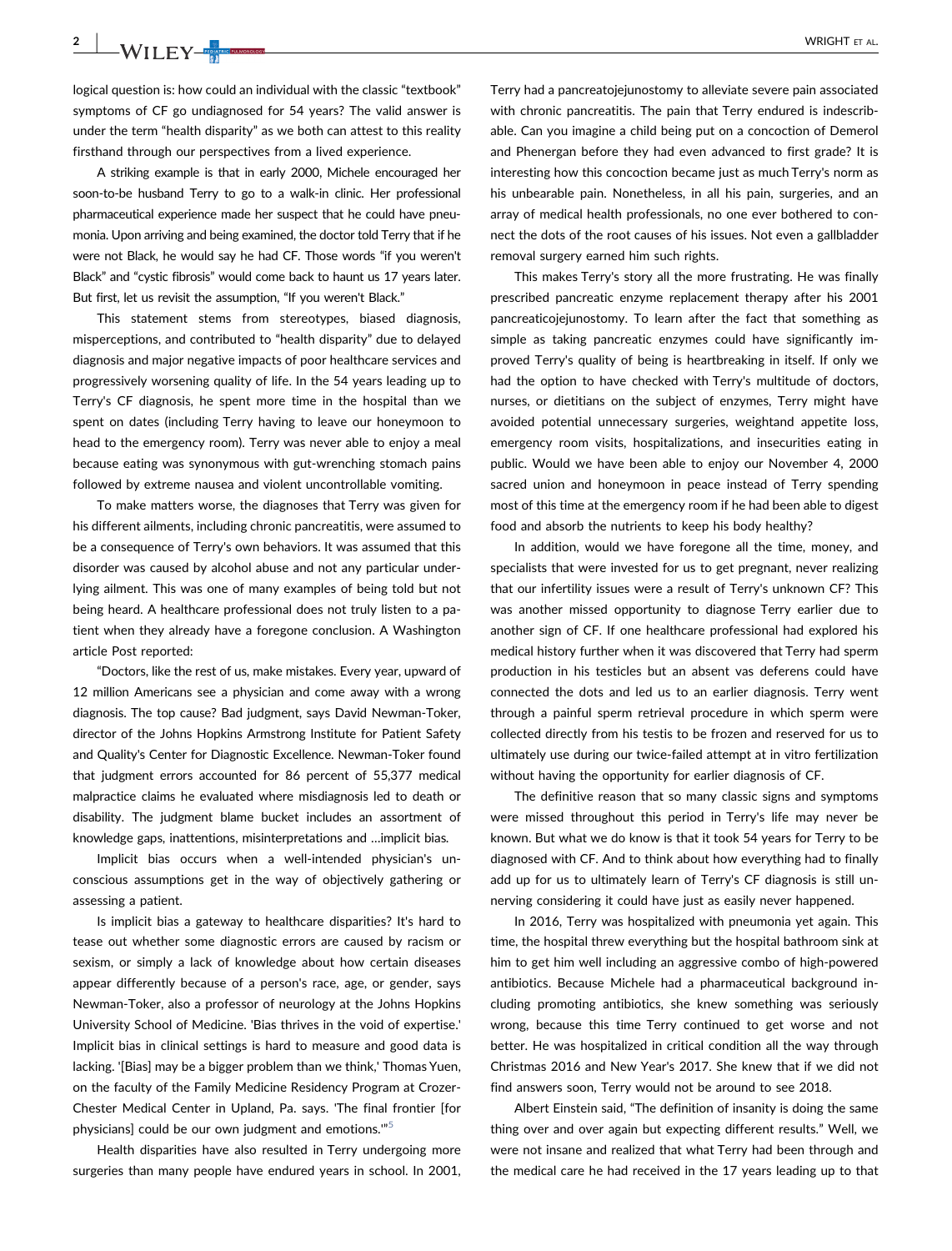**2** | WRIGHT ET AL.

logical question is: how could an individual with the classic "textbook" symptoms of CF go undiagnosed for 54 years? The valid answer is under the term "health disparity" as we both can attest to this reality firsthand through our perspectives from a lived experience.

A striking example is that in early 2000, Michele encouraged her soon-to-be husband Terry to go to a walk-in clinic. Her professional pharmaceutical experience made her suspect that he could have pneumonia. Upon arriving and being examined, the doctor told Terry that if he were not Black, he would say he had CF. Those words "if you weren't Black" and "cystic fibrosis" would come back to haunt us 17 years later. But first, let us revisit the assumption, "If you weren't Black."

This statement stems from stereotypes, biased diagnosis, misperceptions, and contributed to "health disparity" due to delayed diagnosis and major negative impacts of poor healthcare services and progressively worsening quality of life. In the 54 years leading up to Terry's CF diagnosis, he spent more time in the hospital than we spent on dates (including Terry having to leave our honeymoon to head to the emergency room). Terry was never able to enjoy a meal because eating was synonymous with gut‐wrenching stomach pains followed by extreme nausea and violent uncontrollable vomiting.

To make matters worse, the diagnoses that Terry was given for his different ailments, including chronic pancreatitis, were assumed to be a consequence of Terry's own behaviors. It was assumed that this disorder was caused by alcohol abuse and not any particular underlying ailment. This was one of many examples of being told but not being heard. A healthcare professional does not truly listen to a patient when they already have a foregone conclusion. A Washington article Post reported:

"Doctors, like the rest of us, make mistakes. Every year, upward of 12 million Americans see a physician and come away with a wrong diagnosis. The top cause? Bad judgment, says David Newman‐Toker, director of the Johns Hopkins Armstrong Institute for Patient Safety and Quality's Center for Diagnostic Excellence. Newman‐Toker found that judgment errors accounted for 86 percent of 55,377 medical malpractice claims he evaluated where misdiagnosis led to death or disability. The judgment blame bucket includes an assortment of knowledge gaps, inattentions, misinterpretations and …implicit bias.

Implicit bias occurs when a well‐intended physician's unconscious assumptions get in the way of objectively gathering or assessing a patient.

Is implicit bias a gateway to healthcare disparities? It's hard to tease out whether some diagnostic errors are caused by racism or sexism, or simply a lack of knowledge about how certain diseases appear differently because of a person's race, age, or gender, says Newman‐Toker, also a professor of neurology at the Johns Hopkins University School of Medicine. 'Bias thrives in the void of expertise.' Implicit bias in clinical settings is hard to measure and good data is lacking. '[Bias] may be a bigger problem than we think,' Thomas Yuen, on the faculty of the Family Medicine Residency Program at Crozer‐ Chester Medical Center in Upland, Pa. says. 'The final frontier [for physicians] could be our own judgment and emotions.'" [5](#page-3-4)

Health disparities have also resulted in Terry undergoing more surgeries than many people have endured years in school. In 2001,

Terry had a pancreatojejunostomy to alleviate severe pain associated with chronic pancreatitis. The pain that Terry endured is indescribable. Can you imagine a child being put on a concoction of Demerol and Phenergan before they had even advanced to first grade? It is interesting how this concoction became just as much Terry's norm as his unbearable pain. Nonetheless, in all his pain, surgeries, and an array of medical health professionals, no one ever bothered to connect the dots of the root causes of his issues. Not even a gallbladder removal surgery earned him such rights.

This makes Terry's story all the more frustrating. He was finally prescribed pancreatic enzyme replacement therapy after his 2001 pancreaticojejunostomy. To learn after the fact that something as simple as taking pancreatic enzymes could have significantly improved Terry's quality of being is heartbreaking in itself. If only we had the option to have checked with Terry's multitude of doctors, nurses, or dietitians on the subject of enzymes, Terry might have avoided potential unnecessary surgeries, weightand appetite loss, emergency room visits, hospitalizations, and insecurities eating in public. Would we have been able to enjoy our November 4, 2000 sacred union and honeymoon in peace instead of Terry spending most of this time at the emergency room if he had been able to digest food and absorb the nutrients to keep his body healthy?

In addition, would we have foregone all the time, money, and specialists that were invested for us to get pregnant, never realizing that our infertility issues were a result of Terry's unknown CF? This was another missed opportunity to diagnose Terry earlier due to another sign of CF. If one healthcare professional had explored his medical history further when it was discovered that Terry had sperm production in his testicles but an absent vas deferens could have connected the dots and led us to an earlier diagnosis. Terry went through a painful sperm retrieval procedure in which sperm were collected directly from his testis to be frozen and reserved for us to ultimately use during our twice‐failed attempt at in vitro fertilization without having the opportunity for earlier diagnosis of CF.

The definitive reason that so many classic signs and symptoms were missed throughout this period in Terry's life may never be known. But what we do know is that it took 54 years for Terry to be diagnosed with CF. And to think about how everything had to finally add up for us to ultimately learn of Terry's CF diagnosis is still unnerving considering it could have just as easily never happened.

In 2016, Terry was hospitalized with pneumonia yet again. This time, the hospital threw everything but the hospital bathroom sink at him to get him well including an aggressive combo of high‐powered antibiotics. Because Michele had a pharmaceutical background including promoting antibiotics, she knew something was seriously wrong, because this time Terry continued to get worse and not better. He was hospitalized in critical condition all the way through Christmas 2016 and New Year's 2017. She knew that if we did not find answers soon, Terry would not be around to see 2018.

Albert Einstein said, "The definition of insanity is doing the same thing over and over again but expecting different results." Well, we were not insane and realized that what Terry had been through and the medical care he had received in the 17 years leading up to that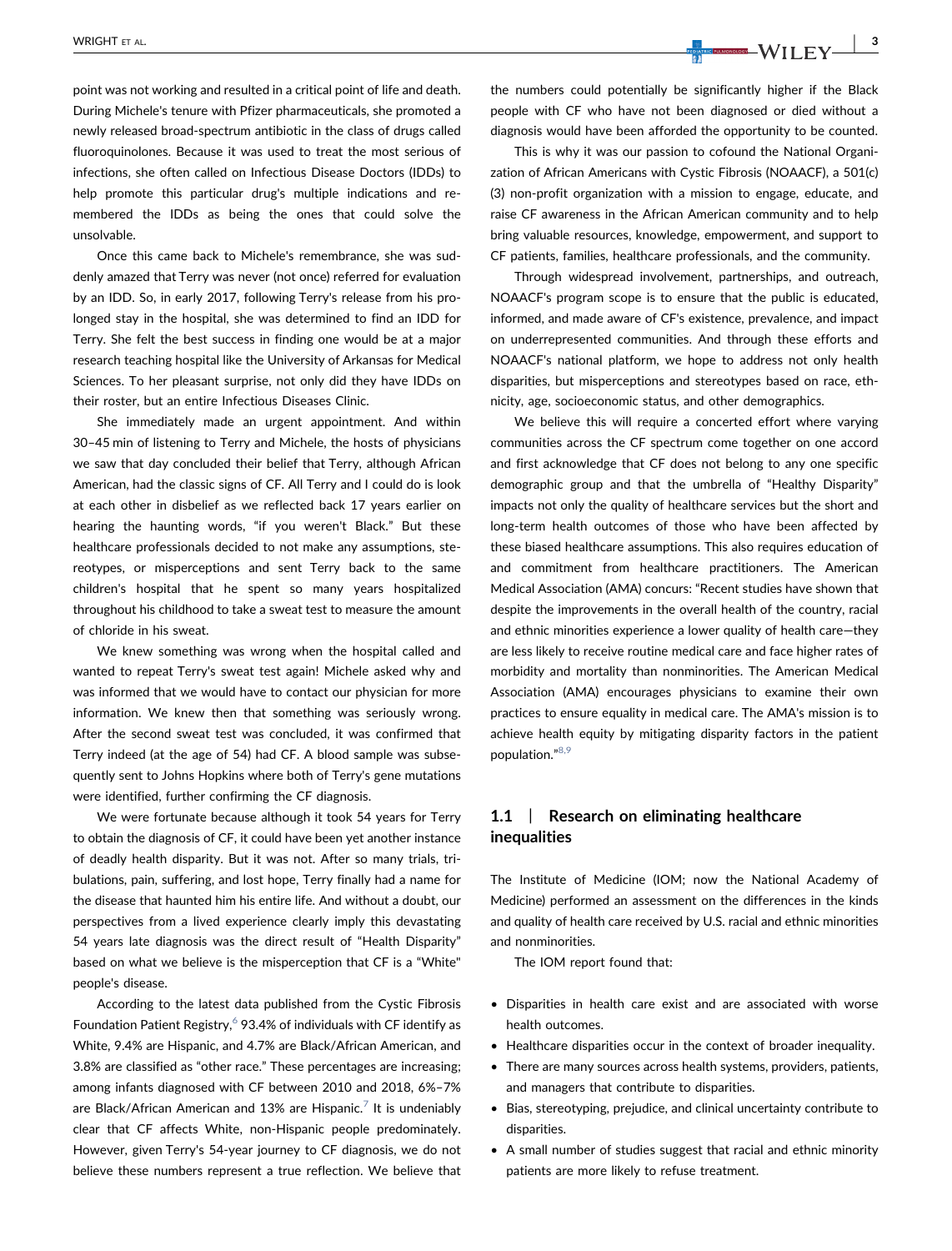point was not working and resulted in a critical point of life and death. During Michele's tenure with Pfizer pharmaceuticals, she promoted a newly released broad‐spectrum antibiotic in the class of drugs called fluoroquinolones. Because it was used to treat the most serious of infections, she often called on Infectious Disease Doctors (IDDs) to help promote this particular drug's multiple indications and remembered the IDDs as being the ones that could solve the unsolvable.

Once this came back to Michele's remembrance, she was suddenly amazed that Terry was never (not once) referred for evaluation by an IDD. So, in early 2017, following Terry's release from his prolonged stay in the hospital, she was determined to find an IDD for Terry. She felt the best success in finding one would be at a major research teaching hospital like the University of Arkansas for Medical Sciences. To her pleasant surprise, not only did they have IDDs on their roster, but an entire Infectious Diseases Clinic.

She immediately made an urgent appointment. And within 30–45 min of listening to Terry and Michele, the hosts of physicians we saw that day concluded their belief that Terry, although African American, had the classic signs of CF. All Terry and I could do is look at each other in disbelief as we reflected back 17 years earlier on hearing the haunting words, "if you weren't Black." But these healthcare professionals decided to not make any assumptions, stereotypes, or misperceptions and sent Terry back to the same children's hospital that he spent so many years hospitalized throughout his childhood to take a sweat test to measure the amount of chloride in his sweat.

We knew something was wrong when the hospital called and wanted to repeat Terry's sweat test again! Michele asked why and was informed that we would have to contact our physician for more information. We knew then that something was seriously wrong. After the second sweat test was concluded, it was confirmed that Terry indeed (at the age of 54) had CF. A blood sample was subsequently sent to Johns Hopkins where both of Terry's gene mutations were identified, further confirming the CF diagnosis.

We were fortunate because although it took 54 years for Terry to obtain the diagnosis of CF, it could have been yet another instance of deadly health disparity. But it was not. After so many trials, tribulations, pain, suffering, and lost hope, Terry finally had a name for the disease that haunted him his entire life. And without a doubt, our perspectives from a lived experience clearly imply this devastating 54 years late diagnosis was the direct result of "Health Disparity" based on what we believe is the misperception that CF is a "White" people's disease.

According to the latest data published from the Cystic Fibrosis Foundation Patient Registry,  $6$  93.4% of individuals with CF identify as White, 9.4% are Hispanic, and 4.7% are Black/African American, and 3.8% are classified as "other race." These percentages are increasing; among infants diagnosed with CF between 2010 and 2018, 6%–7% are Black/African American and 13% are Hispanic.<sup>[7](#page-3-6)</sup> It is undeniably clear that CF affects White, non‐Hispanic people predominately. However, given Terry's 54‐year journey to CF diagnosis, we do not believe these numbers represent a true reflection. We believe that

WRIGHT ET AL.  $\begin{array}{|c|c|c|c|c|}\hline \text{N}}&\text{N}}&\text{N}}&\text{N}}&\text{N}}&\text{N}}&\text{N}}&\text{N}}&\text{N}}&\text{N}}&\text{N}}&\text{N}}&\text{N}}&\text{N}}&\text{N}}&\text{N}}&\text{N}}&\text{N}}&\text{N}}&\text{N}}&\text{N}}&\text{N}}&\text{N}}&\text{N}}&\text{N}}&\text{N}}&\text{N}}&\text{N}}&\text{N}}&\text{N}}&\text{N}}&\$ 

the numbers could potentially be significantly higher if the Black people with CF who have not been diagnosed or died without a diagnosis would have been afforded the opportunity to be counted.

This is why it was our passion to cofound the National Organization of African Americans with Cystic Fibrosis (NOAACF), a 501(c) (3) non‐profit organization with a mission to engage, educate, and raise CF awareness in the African American community and to help bring valuable resources, knowledge, empowerment, and support to CF patients, families, healthcare professionals, and the community.

Through widespread involvement, partnerships, and outreach, NOAACF's program scope is to ensure that the public is educated, informed, and made aware of CF's existence, prevalence, and impact on underrepresented communities. And through these efforts and NOAACF's national platform, we hope to address not only health disparities, but misperceptions and stereotypes based on race, ethnicity, age, socioeconomic status, and other demographics.

We believe this will require a concerted effort where varying communities across the CF spectrum come together on one accord and first acknowledge that CF does not belong to any one specific demographic group and that the umbrella of "Healthy Disparity" impacts not only the quality of healthcare services but the short and long‐term health outcomes of those who have been affected by these biased healthcare assumptions. This also requires education of and commitment from healthcare practitioners. The American Medical Association (AMA) concurs: "Recent studies have shown that despite the improvements in the overall health of the country, racial and ethnic minorities experience a lower quality of health care—they are less likely to receive routine medical care and face higher rates of morbidity and mortality than nonminorities. The American Medical Association (AMA) encourages physicians to examine their own practices to ensure equality in medical care. The AMA's mission is to achieve health equity by mitigating disparity factors in the patient population." [8,9](#page-3-7)

## 1.1 | Research on eliminating healthcare inequalities

The Institute of Medicine (IOM; now the National Academy of Medicine) performed an assessment on the differences in the kinds and quality of health care received by U.S. racial and ethnic minorities and nonminorities.

The IOM report found that:

- Disparities in health care exist and are associated with worse health outcomes.
- Healthcare disparities occur in the context of broader inequality.
- There are many sources across health systems, providers, patients, and managers that contribute to disparities.
- Bias, stereotyping, prejudice, and clinical uncertainty contribute to disparities.
- A small number of studies suggest that racial and ethnic minority patients are more likely to refuse treatment.